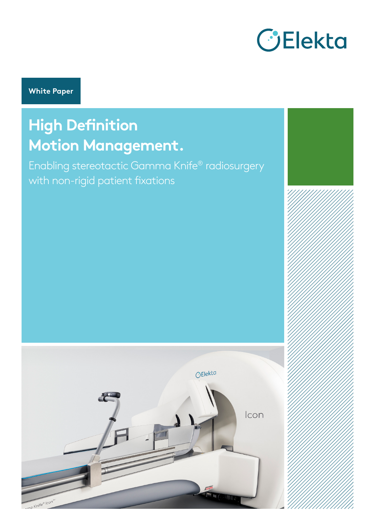

**White Paper**

# **High Definition Motion Management.**

Enabling stereotactic Gamma Knife® radiosurgery with non-rigid patient fixations

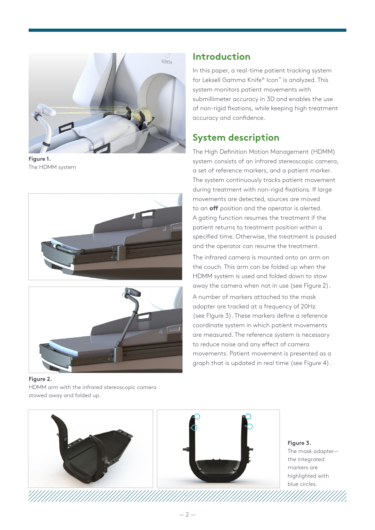

**Figure 1.**  The HDMM system





**Figure 2.**  HDMM arm with the infrared stereoscopic camera stowed away and folded up.

# **Introduction**

In this paper, a real-time patient tracking system for Leksell Gamma Knife® Icon™ is analyzed. This system monitors patient movements with submillimeter accuracy in 3D and enables the use of non-rigid fixations, while keeping high treatment accuracy and confidence.

# **System description**

The High Definition Motion Management (HDMM) system consists of an infrared stereoscopic camera, a set of reference markers, and a patient marker. The system continuously tracks patient movement during treatment with non-rigid fixations. If large movements are detected, sources are moved to an **off** position and the operator is alerted. A gating function resumes the treatment if the patient returns to treatment position within a specified time. Otherwise, the treatment is paused and the operator can resume the treatment.

The infrared camera is mounted onto an arm on the couch. This arm can be folded up when the HDMM system is used and folded down to stow away the camera when not in use (see FIgure 2).

A number of markers attached to the mask adapter are tracked at a frequency of 20Hz (see FIgure 3). These markers define a reference coordinate system in which patient movements are measured. The reference system is necessary to reduce noise and any effect of camera movements. Patient movement is presented as a graph that is updated in real time (see Figure 4).



**Figure 3.**  The mask adapter the integrated markers are highlighted with blue circles.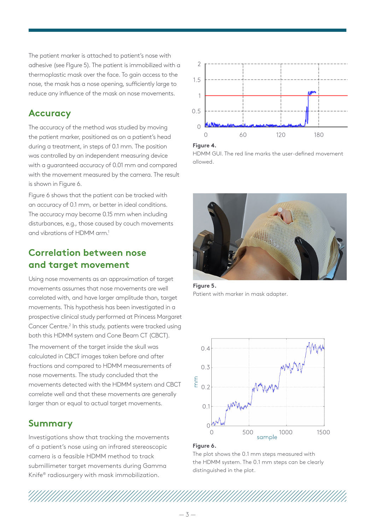The patient marker is attached to patient's nose with adhesive (see FIgure 5). The patient is immobilized with a thermoplastic mask over the face. To gain access to the nose, the mask has a nose opening, sufficiently large to reduce any influence of the mask on nose movements.

# **Accuracy**

The accuracy of the method was studied by moving the patient marker, positioned as on a patient's head during a treatment, in steps of 0.1 mm. The position was controlled by an independent measuring device with a guaranteed accuracy of 0.01 mm and compared with the movement measured by the camera. The result is shown in Figure 6.

Figure 6 shows that the patient can be tracked with an accuracy of 0.1 mm, or better in ideal conditions. The accuracy may become 0.15 mm when including disturbances, e.g., those caused by couch movements and vibrations of HDMM arm.1

# **Correlation between nose and target movement**

Using nose movements as an approximation of target movements assumes that nose movements are well correlated with, and have larger amplitude than, target movements. This hypothesis has been investigated in a prospective clinical study performed at Princess Margaret Cancer Centre.<sup>2</sup> In this study, patients were tracked using both this HDMM system and Cone Beam CT (CBCT). The movement of the target inside the skull was calculated in CBCT images taken before and after fractions and compared to HDMM measurements of nose movements. The study concluded that the movements detected with the HDMM system and CBCT correlate well and that these movements are generally larger than or equal to actual target movements.

## **Summary**

Investigations show that tracking the movements of a patient's nose using an infrared stereoscopic camera is a feasible HDMM method to track submillimeter target movements during Gamma Knife® radiosurgery with mask immobilization.



#### **Figure 4.**

HDMM GUI. The red line marks the user-defined movement allowed.



**Figure 5.**  Patient with marker in mask adapter.



#### **Figure 6.**

The plot shows the 0.1 mm steps measured with the HDMM system. The 0.1 mm steps can be clearly distinguished in the plot.